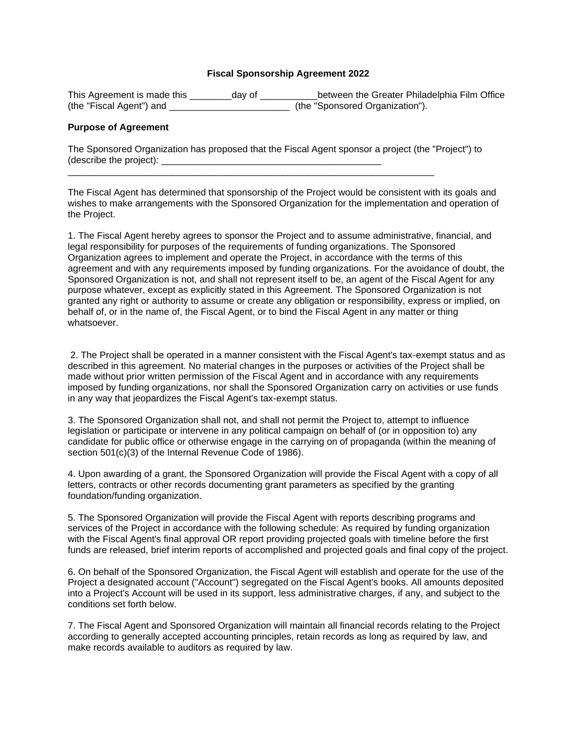## **Fiscal Sponsorship Agreement 2022**

| This Agreement is made this | dav of | between the Greater Philadelphia Film Office |
|-----------------------------|--------|----------------------------------------------|
| (the "Fiscal Agent") and    |        | (the "Sponsored Organization").              |

## **Purpose of Agreement**

| The Sponsored Organization has proposed that the Fiscal Agent sponsor a project (the "Project") to |  |
|----------------------------------------------------------------------------------------------------|--|
| (describe the project):                                                                            |  |

\_\_\_\_\_\_\_\_\_\_\_\_\_\_\_\_\_\_\_\_\_\_\_\_\_\_\_\_\_\_\_\_\_\_\_\_\_\_\_\_\_\_\_\_\_\_\_\_\_\_\_\_\_\_\_\_\_\_\_\_\_\_\_\_\_\_\_\_\_\_

The Fiscal Agent has determined that sponsorship of the Project would be consistent with its goals and wishes to make arrangements with the Sponsored Organization for the implementation and operation of the Project.

1. The Fiscal Agent hereby agrees to sponsor the Project and to assume administrative, financial, and legal responsibility for purposes of the requirements of funding organizations. The Sponsored Organization agrees to implement and operate the Project, in accordance with the terms of this agreement and with any requirements imposed by funding organizations. For the avoidance of doubt, the Sponsored Organization is not, and shall not represent itself to be, an agent of the Fiscal Agent for any purpose whatever, except as explicitly stated in this Agreement. The Sponsored Organization is not granted any right or authority to assume or create any obligation or responsibility, express or implied, on behalf of, or in the name of, the Fiscal Agent, or to bind the Fiscal Agent in any matter or thing whatsoever.

2. The Project shall be operated in a manner consistent with the Fiscal Agent's tax-exempt status and as described in this agreement. No material changes in the purposes or activities of the Project shall be made without prior written permission of the Fiscal Agent and in accordance with any requirements imposed by funding organizations, nor shall the Sponsored Organization carry on activities or use funds in any way that jeopardizes the Fiscal Agent's tax-exempt status.

3. The Sponsored Organization shall not, and shall not permit the Project to, attempt to influence legislation or participate or intervene in any political campaign on behalf of (or in opposition to) any candidate for public office or otherwise engage in the carrying on of propaganda (within the meaning of section 501(c)(3) of the Internal Revenue Code of 1986).

4. Upon awarding of a grant, the Sponsored Organization will provide the Fiscal Agent with a copy of all letters, contracts or other records documenting grant parameters as specified by the granting foundation/funding organization.

5. The Sponsored Organization will provide the Fiscal Agent with reports describing programs and services of the Project in accordance with the following schedule: As required by funding organization with the Fiscal Agent's final approval OR report providing projected goals with timeline before the first funds are released, brief interim reports of accomplished and projected goals and final copy of the project.

6. On behalf of the Sponsored Organization, the Fiscal Agent will establish and operate for the use of the Project a designated account ("Account") segregated on the Fiscal Agent's books. All amounts deposited into a Project's Account will be used in its support, less administrative charges, if any, and subject to the conditions set forth below.

7. The Fiscal Agent and Sponsored Organization will maintain all financial records relating to the Project according to generally accepted accounting principles, retain records as long as required by law, and make records available to auditors as required by law.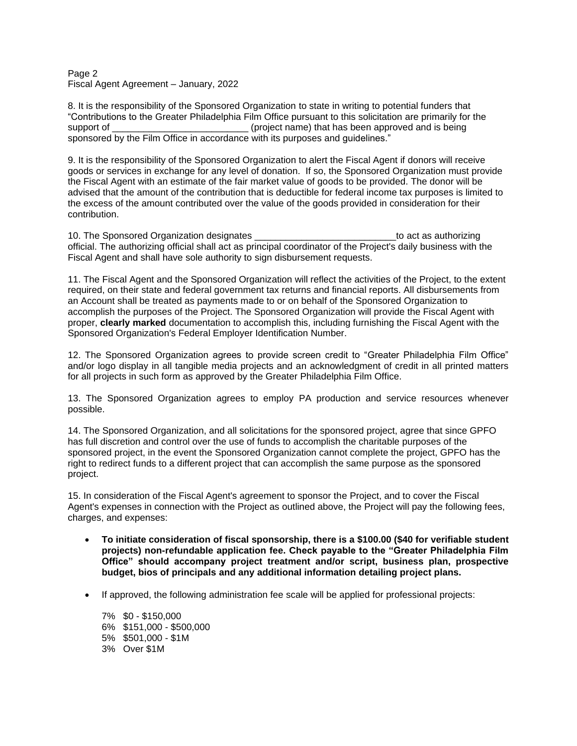#### Page 2 Fiscal Agent Agreement – January, 2022

8. It is the responsibility of the Sponsored Organization to state in writing to potential funders that "Contributions to the Greater Philadelphia Film Office pursuant to this solicitation are primarily for the support of  $_{\rm{proper}}$  (project name) that has been approved and is being sponsored by the Film Office in accordance with its purposes and guidelines."

9. It is the responsibility of the Sponsored Organization to alert the Fiscal Agent if donors will receive goods or services in exchange for any level of donation. If so, the Sponsored Organization must provide the Fiscal Agent with an estimate of the fair market value of goods to be provided. The donor will be advised that the amount of the contribution that is deductible for federal income tax purposes is limited to the excess of the amount contributed over the value of the goods provided in consideration for their contribution.

10. The Sponsored Organization designates \_\_\_\_\_\_\_\_\_\_\_\_\_\_\_\_\_\_\_\_\_\_\_\_\_\_\_to act as authorizing official. The authorizing official shall act as principal coordinator of the Project's daily business with the Fiscal Agent and shall have sole authority to sign disbursement requests.

11. The Fiscal Agent and the Sponsored Organization will reflect the activities of the Project, to the extent required, on their state and federal government tax returns and financial reports. All disbursements from an Account shall be treated as payments made to or on behalf of the Sponsored Organization to accomplish the purposes of the Project. The Sponsored Organization will provide the Fiscal Agent with proper, **clearly marked** documentation to accomplish this, including furnishing the Fiscal Agent with the Sponsored Organization's Federal Employer Identification Number.

12. The Sponsored Organization agrees to provide screen credit to "Greater Philadelphia Film Office" and/or logo display in all tangible media projects and an acknowledgment of credit in all printed matters for all projects in such form as approved by the Greater Philadelphia Film Office.

13. The Sponsored Organization agrees to employ PA production and service resources whenever possible.

14. The Sponsored Organization, and all solicitations for the sponsored project, agree that since GPFO has full discretion and control over the use of funds to accomplish the charitable purposes of the sponsored project, in the event the Sponsored Organization cannot complete the project, GPFO has the right to redirect funds to a different project that can accomplish the same purpose as the sponsored project.

15. In consideration of the Fiscal Agent's agreement to sponsor the Project, and to cover the Fiscal Agent's expenses in connection with the Project as outlined above, the Project will pay the following fees, charges, and expenses:

- **To initiate consideration of fiscal sponsorship, there is a \$100.00 (\$40 for verifiable student projects) non-refundable application fee. Check payable to the "Greater Philadelphia Film Office" should accompany project treatment and/or script, business plan, prospective budget, bios of principals and any additional information detailing project plans.**
- If approved, the following administration fee scale will be applied for professional projects:

7% \$0 - \$150,000 6% \$151,000 - \$500,000 5% \$501,000 - \$1M 3% Over \$1M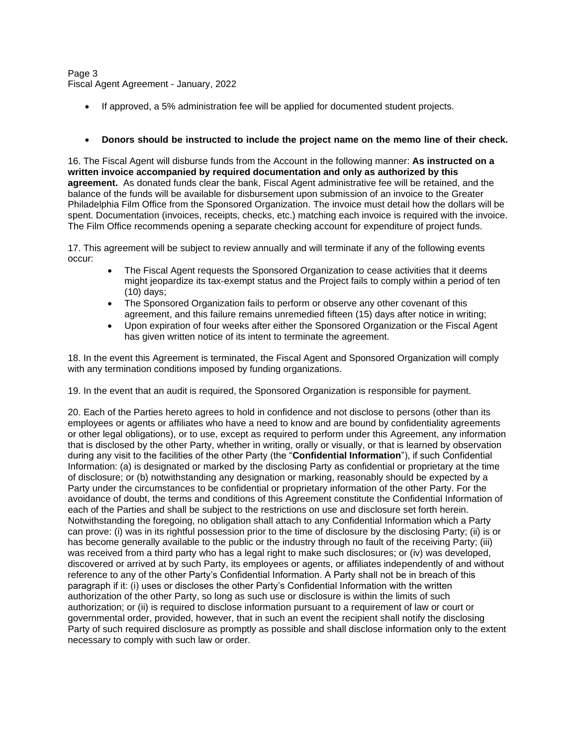# Page 3 Fiscal Agent Agreement - January, 2022

If approved, a 5% administration fee will be applied for documented student projects.

# • **Donors should be instructed to include the project name on the memo line of their check.**

16. The Fiscal Agent will disburse funds from the Account in the following manner: **As instructed on a written invoice accompanied by required documentation and only as authorized by this agreement.** As donated funds clear the bank, Fiscal Agent administrative fee will be retained, and the balance of the funds will be available for disbursement upon submission of an invoice to the Greater Philadelphia Film Office from the Sponsored Organization. The invoice must detail how the dollars will be spent. Documentation (invoices, receipts, checks, etc.) matching each invoice is required with the invoice. The Film Office recommends opening a separate checking account for expenditure of project funds.

17. This agreement will be subject to review annually and will terminate if any of the following events occur:

- The Fiscal Agent requests the Sponsored Organization to cease activities that it deems might jeopardize its tax-exempt status and the Project fails to comply within a period of ten (10) days;
- The Sponsored Organization fails to perform or observe any other covenant of this agreement, and this failure remains unremedied fifteen (15) days after notice in writing;
- Upon expiration of four weeks after either the Sponsored Organization or the Fiscal Agent has given written notice of its intent to terminate the agreement.

18. In the event this Agreement is terminated, the Fiscal Agent and Sponsored Organization will comply with any termination conditions imposed by funding organizations.

19. In the event that an audit is required, the Sponsored Organization is responsible for payment.

20. Each of the Parties hereto agrees to hold in confidence and not disclose to persons (other than its employees or agents or affiliates who have a need to know and are bound by confidentiality agreements or other legal obligations), or to use, except as required to perform under this Agreement, any information that is disclosed by the other Party, whether in writing, orally or visually, or that is learned by observation during any visit to the facilities of the other Party (the "**Confidential Information**"), if such Confidential Information: (a) is designated or marked by the disclosing Party as confidential or proprietary at the time of disclosure; or (b) notwithstanding any designation or marking, reasonably should be expected by a Party under the circumstances to be confidential or proprietary information of the other Party. For the avoidance of doubt, the terms and conditions of this Agreement constitute the Confidential Information of each of the Parties and shall be subject to the restrictions on use and disclosure set forth herein. Notwithstanding the foregoing, no obligation shall attach to any Confidential Information which a Party can prove: (i) was in its rightful possession prior to the time of disclosure by the disclosing Party; (ii) is or has become generally available to the public or the industry through no fault of the receiving Party; (iii) was received from a third party who has a legal right to make such disclosures; or (iv) was developed, discovered or arrived at by such Party, its employees or agents, or affiliates independently of and without reference to any of the other Party's Confidential Information. A Party shall not be in breach of this paragraph if it: (i) uses or discloses the other Party's Confidential Information with the written authorization of the other Party, so long as such use or disclosure is within the limits of such authorization; or (ii) is required to disclose information pursuant to a requirement of law or court or governmental order, provided, however, that in such an event the recipient shall notify the disclosing Party of such required disclosure as promptly as possible and shall disclose information only to the extent necessary to comply with such law or order.